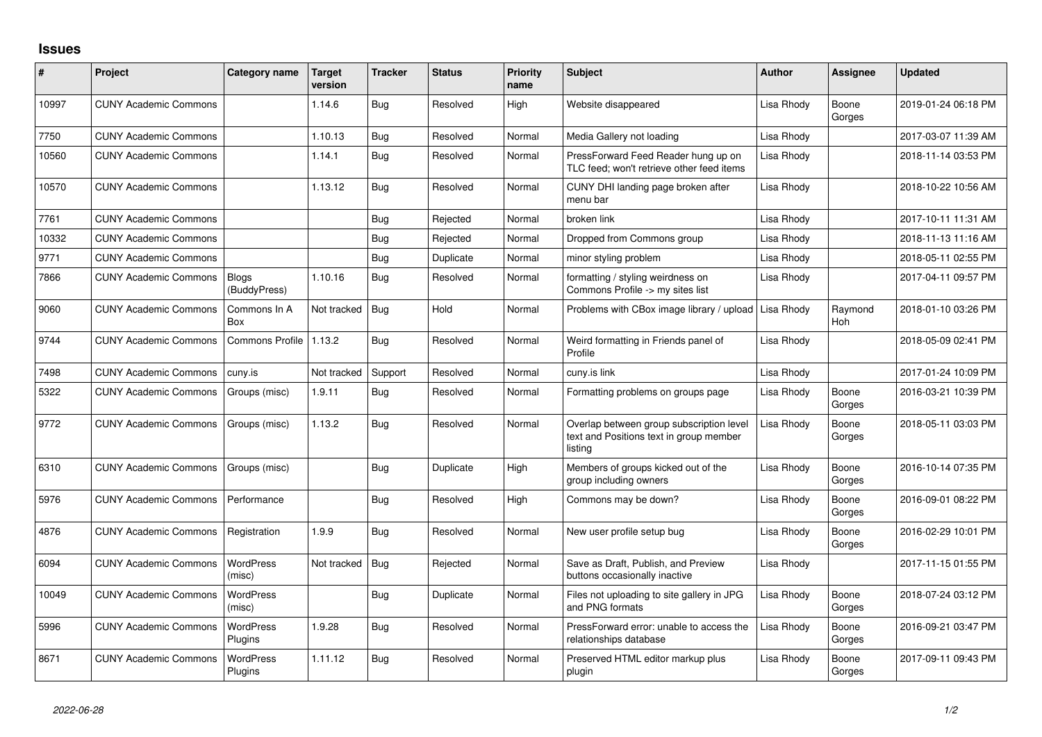## **Issues**

| #     | Project                      | Category name               | Target<br>version | <b>Tracker</b> | <b>Status</b> | <b>Priority</b><br>name | <b>Subject</b>                                                                                 | <b>Author</b> | <b>Assignee</b> | <b>Updated</b>      |
|-------|------------------------------|-----------------------------|-------------------|----------------|---------------|-------------------------|------------------------------------------------------------------------------------------------|---------------|-----------------|---------------------|
| 10997 | <b>CUNY Academic Commons</b> |                             | 1.14.6            | Bug            | Resolved      | High                    | Website disappeared                                                                            | Lisa Rhody    | Boone<br>Gorges | 2019-01-24 06:18 PM |
| 7750  | <b>CUNY Academic Commons</b> |                             | 1.10.13           | Bug            | Resolved      | Normal                  | Media Gallery not loading                                                                      | Lisa Rhody    |                 | 2017-03-07 11:39 AM |
| 10560 | <b>CUNY Academic Commons</b> |                             | 1.14.1            | Bug            | Resolved      | Normal                  | PressForward Feed Reader hung up on<br>TLC feed; won't retrieve other feed items               | Lisa Rhody    |                 | 2018-11-14 03:53 PM |
| 10570 | <b>CUNY Academic Commons</b> |                             | 1.13.12           | Bug            | Resolved      | Normal                  | CUNY DHI landing page broken after<br>menu bar                                                 | Lisa Rhody    |                 | 2018-10-22 10:56 AM |
| 7761  | <b>CUNY Academic Commons</b> |                             |                   | Bug            | Rejected      | Normal                  | broken link                                                                                    | Lisa Rhody    |                 | 2017-10-11 11:31 AM |
| 10332 | <b>CUNY Academic Commons</b> |                             |                   | Bug            | Rejected      | Normal                  | Dropped from Commons group                                                                     | Lisa Rhody    |                 | 2018-11-13 11:16 AM |
| 9771  | <b>CUNY Academic Commons</b> |                             |                   | <b>Bug</b>     | Duplicate     | Normal                  | minor styling problem                                                                          | Lisa Rhody    |                 | 2018-05-11 02:55 PM |
| 7866  | <b>CUNY Academic Commons</b> | Blogs<br>(BuddyPress)       | 1.10.16           | Bug            | Resolved      | Normal                  | formatting / styling weirdness on<br>Commons Profile -> my sites list                          | Lisa Rhody    |                 | 2017-04-11 09:57 PM |
| 9060  | <b>CUNY Academic Commons</b> | Commons In A<br>Box         | Not tracked       | Bug            | Hold          | Normal                  | Problems with CBox image library / upload                                                      | Lisa Rhody    | Raymond<br>Hoh  | 2018-01-10 03:26 PM |
| 9744  | <b>CUNY Academic Commons</b> | Commons Profile             | 1.13.2            | Bug            | Resolved      | Normal                  | Weird formatting in Friends panel of<br>Profile                                                | Lisa Rhody    |                 | 2018-05-09 02:41 PM |
| 7498  | <b>CUNY Academic Commons</b> | cuny.is                     | Not tracked       | Support        | Resolved      | Normal                  | cuny.is link                                                                                   | Lisa Rhody    |                 | 2017-01-24 10:09 PM |
| 5322  | <b>CUNY Academic Commons</b> | Groups (misc)               | 1.9.11            | Bug            | Resolved      | Normal                  | Formatting problems on groups page                                                             | Lisa Rhody    | Boone<br>Gorges | 2016-03-21 10:39 PM |
| 9772  | <b>CUNY Academic Commons</b> | Groups (misc)               | 1.13.2            | Bug            | Resolved      | Normal                  | Overlap between group subscription level<br>text and Positions text in group member<br>listing | Lisa Rhody    | Boone<br>Gorges | 2018-05-11 03:03 PM |
| 6310  | <b>CUNY Academic Commons</b> | Groups (misc)               |                   | Bug            | Duplicate     | High                    | Members of groups kicked out of the<br>group including owners                                  | Lisa Rhody    | Boone<br>Gorges | 2016-10-14 07:35 PM |
| 5976  | <b>CUNY Academic Commons</b> | Performance                 |                   | Bug            | Resolved      | Hiah                    | Commons may be down?                                                                           | Lisa Rhody    | Boone<br>Gorges | 2016-09-01 08:22 PM |
| 4876  | <b>CUNY Academic Commons</b> | Registration                | 1.9.9             | Bug            | Resolved      | Normal                  | New user profile setup bug                                                                     | Lisa Rhody    | Boone<br>Gorges | 2016-02-29 10:01 PM |
| 6094  | <b>CUNY Academic Commons</b> | WordPress<br>(misc)         | Not tracked       | Bug            | Rejected      | Normal                  | Save as Draft, Publish, and Preview<br>buttons occasionally inactive                           | Lisa Rhody    |                 | 2017-11-15 01:55 PM |
| 10049 | <b>CUNY Academic Commons</b> | WordPress<br>(misc)         |                   | Bug            | Duplicate     | Normal                  | Files not uploading to site gallery in JPG<br>and PNG formats                                  | Lisa Rhody    | Boone<br>Gorges | 2018-07-24 03:12 PM |
| 5996  | <b>CUNY Academic Commons</b> | <b>WordPress</b><br>Plugins | 1.9.28            | Bug            | Resolved      | Normal                  | PressForward error: unable to access the<br>relationships database                             | Lisa Rhody    | Boone<br>Gorges | 2016-09-21 03:47 PM |
| 8671  | <b>CUNY Academic Commons</b> | <b>WordPress</b><br>Plugins | 1.11.12           | Bug            | Resolved      | Normal                  | Preserved HTML editor markup plus<br>plugin                                                    | Lisa Rhody    | Boone<br>Gorges | 2017-09-11 09:43 PM |